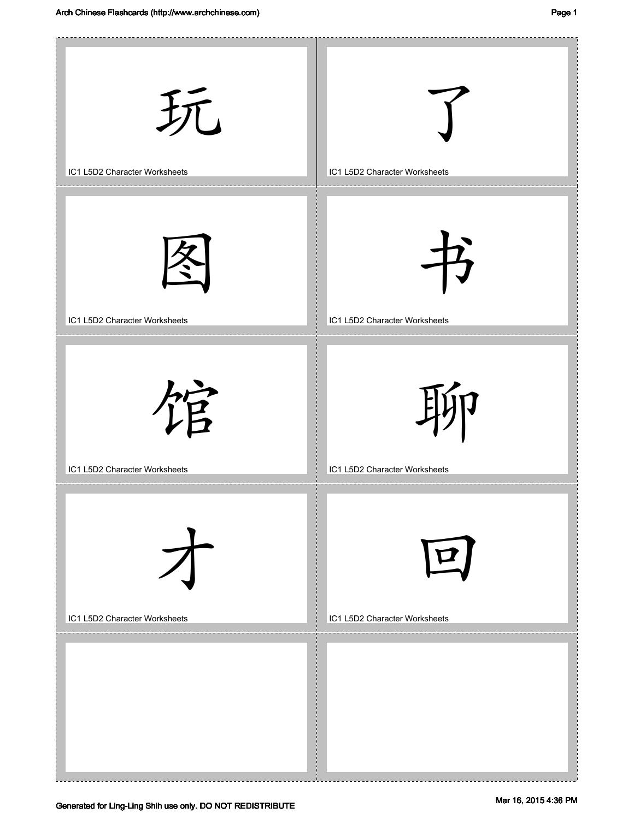